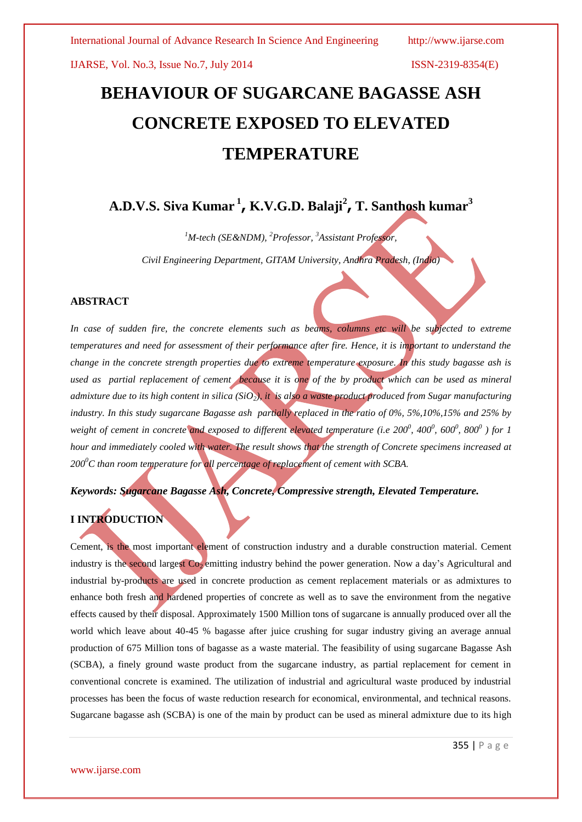IJARSE, Vol. No.3, Issue No.7, July 2014 ISSN-2319-8354(E)

# **BEHAVIOUR OF SUGARCANE BAGASSE ASH CONCRETE EXPOSED TO ELEVATED TEMPERATURE**

# **A.D.V.S. Siva Kumar <sup>1</sup> , K.V.G.D. Balaji<sup>2</sup> , T. Santhosh kumar<sup>3</sup>**

*<sup>1</sup>M-tech (SE&NDM), <sup>2</sup>Professor, <sup>3</sup>Assistant Professor,* 

*Civil Engineering Department, GITAM University, Andhra Pradesh, (India)*

#### **ABSTRACT**

In case of sudden fire, the concrete elements such as beams, columns etc will be subjected to extreme *temperatures and need for assessment of their performance after fire. Hence, it is important to understand the change in the concrete strength properties due to extreme temperature exposure. In this study bagasse ash is used as partial replacement of cement because it is one of the by product which can be used as mineral admixture due to its high content in silica (SiO2), it is also a waste product produced from Sugar manufacturing industry. In this study sugarcane Bagasse ash partially replaced in the ratio of 0%, 5%,10%,15% and 25% by weight of cement in concrete and exposed to different elevated temperature (i.e 200<sup>0</sup>, 400<sup>0</sup>, 600<sup>0</sup>, 800<sup>0</sup>) for 1 hour and immediately cooled with water. The result shows that the strength of Concrete specimens increased at 200<sup>0</sup>C than room temperature for all percentage of replacement of cement with SCBA.* 

### *Keywords: Sugarcane Bagasse Ash, Concrete, Compressive strength, Elevated Temperature.*

## **I INTRODUCTION**

Cement, is the most important element of construction industry and a durable construction material. Cement industry is the second largest Co<sub>2</sub> emitting industry behind the power generation. Now a day's Agricultural and industrial by-products are used in concrete production as cement replacement materials or as admixtures to enhance both fresh and hardened properties of concrete as well as to save the environment from the negative effects caused by their disposal. Approximately 1500 Million tons of sugarcane is annually produced over all the world which leave about 40-45 % bagasse after juice crushing for sugar industry giving an average annual production of 675 Million tons of bagasse as a waste material. The feasibility of using sugarcane Bagasse Ash (SCBA), a finely ground waste product from the sugarcane industry, as partial replacement for cement in conventional concrete is examined. The utilization of industrial and agricultural waste produced by industrial processes has been the focus of waste reduction research for economical, environmental, and technical reasons. Sugarcane bagasse ash (SCBA) is one of the main by product can be used as mineral admixture due to its high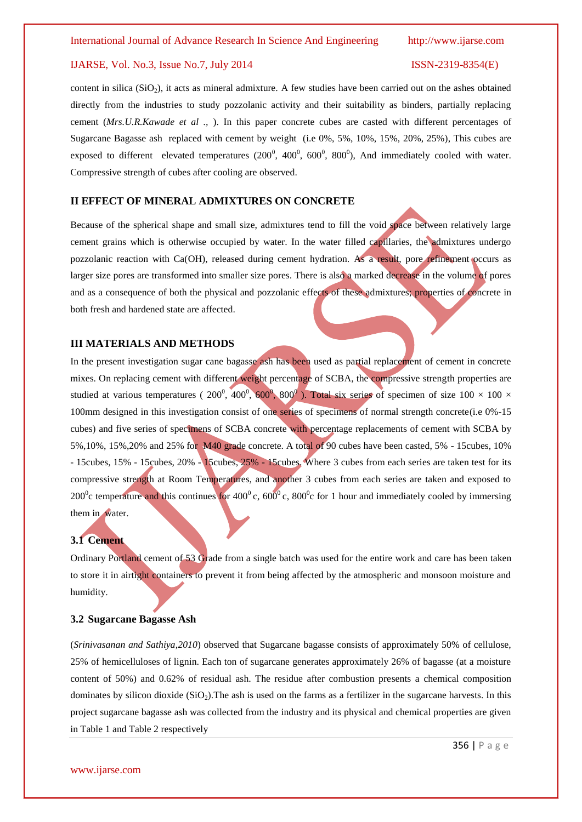#### IJARSE, Vol. No.3, Issue No.7, July 2014 ISSN-2319-8354(E)

content in silica  $(SiO<sub>2</sub>)$ , it acts as mineral admixture. A few studies have been carried out on the ashes obtained directly from the industries to study pozzolanic activity and their suitability as binders, partially replacing cement (*Mrs.U.R.Kawade et al .,* ). In this paper concrete cubes are casted with different percentages of Sugarcane Bagasse ash replaced with cement by weight (i.e 0%, 5%, 10%, 15%, 20%, 25%), This cubes are exposed to different elevated temperatures  $(200^0, 400^0, 600^0, 800^0)$ , And immediately cooled with water. Compressive strength of cubes after cooling are observed.

### **II EFFECT OF MINERAL ADMIXTURES ON CONCRETE**

Because of the spherical shape and small size, admixtures tend to fill the void space between relatively large cement grains which is otherwise occupied by water. In the water filled capillaries, the admixtures undergo pozzolanic reaction with Ca(OH), released during cement hydration. As a result, pore refinement occurs as larger size pores are transformed into smaller size pores. There is also a marked decrease in the volume of pores and as a consequence of both the physical and pozzolanic effects of these admixtures; properties of concrete in both fresh and hardened state are affected.

### **III MATERIALS AND METHODS**

In the present investigation sugar cane bagasse ash has been used as partial replacement of cement in concrete mixes. On replacing cement with different weight percentage of SCBA, the compressive strength properties are studied at various temperatures (  $200^0$ ,  $400^0$ ,  $600^0$ ,  $800^0$ ). Total six series of specimen of size  $100 \times 100 \times$ 100mm designed in this investigation consist of one series of specimens of normal strength concrete(i.e 0%-15 cubes) and five series of specimens of SCBA concrete with percentage replacements of cement with SCBA by 5%,10%, 15%,20% and 25% for M40 grade concrete. A total of 90 cubes have been casted, 5% - 15cubes, 10% - 15cubes, 15% - 15cubes, 20% - 15cubes, 25% - 15cubes. Where 3 cubes from each series are taken test for its compressive strength at Room Temperatures, and another 3 cubes from each series are taken and exposed to 200<sup>o</sup>c temperature and this continues for 400<sup>o</sup> c, 600<sup>o</sup> c, 800<sup>o</sup>c for 1 hour and immediately cooled by immersing them in water.

### **3.1 Cement**

Ordinary Portland cement of 53 Grade from a single batch was used for the entire work and care has been taken to store it in airtight containers to prevent it from being affected by the atmospheric and monsoon moisture and humidity.

#### **3.2 Sugarcane Bagasse Ash**

(*Srinivasanan and Sathiya,2010*) observed that Sugarcane bagasse consists of approximately 50% of cellulose, 25% of hemicelluloses of lignin. Each ton of sugarcane generates approximately 26% of bagasse (at a moisture content of 50%) and 0.62% of residual ash. The residue after combustion presents a chemical composition dominates by silicon dioxide  $(SiO<sub>2</sub>)$ . The ash is used on the farms as a fertilizer in the sugarcane harvests. In this project sugarcane bagasse ash was collected from the industry and its physical and chemical properties are given in Table 1 and Table 2 respectively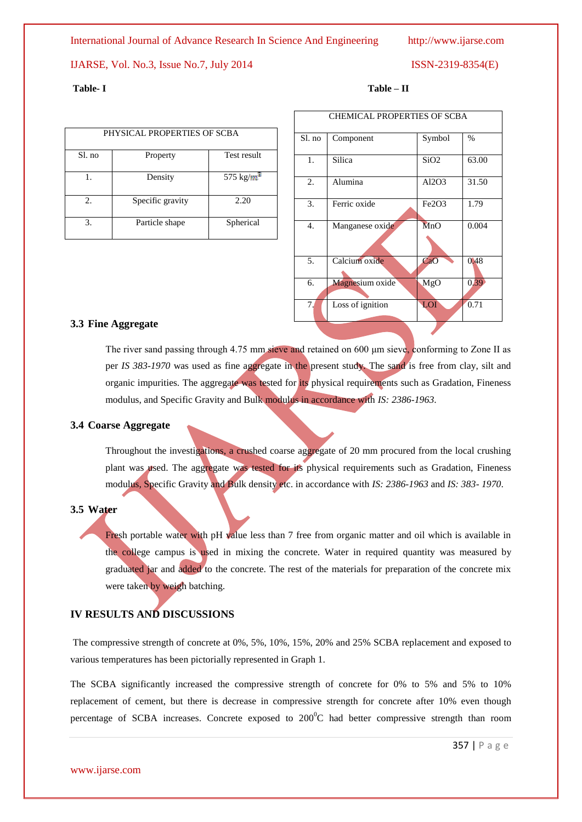International Journal of Advance Research In Science And Engineering http://www.ijarse.com

### IJARSE, Vol. No.3, Issue No.7, July 2014 ISSN-2319-8354(E)

| PHYSICAL PROPERTIES OF SCBA |                  |               |  |  |
|-----------------------------|------------------|---------------|--|--|
| Sl. no                      | Property         | Test result   |  |  |
|                             | Density          | 575 kg/ $m^3$ |  |  |
| 2.5                         | Specific gravity | 2.20          |  |  |
| 3.                          | Particle shape   | Spherical     |  |  |

#### **Table- I Table – II**

| <b>CHEMICAL PROPERTIES OF SCBA</b> |                  |                                |       |  |
|------------------------------------|------------------|--------------------------------|-------|--|
| Sl. no                             | Component        | Symbol                         | %     |  |
| 1.                                 | Silica           | SiO <sub>2</sub>               | 63.00 |  |
| 2.                                 | Alumina          | Al2O3                          | 31.50 |  |
| 3.                                 | Ferric oxide     | Fe <sub>2</sub> O <sub>3</sub> | 1.79  |  |
| 4.                                 | Manganese oxide  | MnO                            | 0.004 |  |
| 5.                                 | Calcium oxide    | CaO                            | 0.48  |  |
| 6.                                 | Magnesium oxide  | MgO                            | 0.39  |  |
| 7.                                 | Loss of ignition | LOI                            | 0.71  |  |
|                                    |                  |                                |       |  |

### **3.3 Fine Aggregate**

The river sand passing through 4.75 mm sieve and retained on 600 μm sieve, conforming to Zone II as per *IS 383-1970* was used as fine aggregate in the present study. The sand is free from clay, silt and organic impurities. The aggregate was tested for its physical requirements such as Gradation, Fineness modulus, and Specific Gravity and Bulk modulus in accordance with *IS: 2386-1963*.

#### **3.4 Coarse Aggregate**

Throughout the investigations, a crushed coarse aggregate of 20 mm procured from the local crushing plant was used. The aggregate was tested for its physical requirements such as Gradation, Fineness modulus, Specific Gravity and Bulk density etc. in accordance with *IS: 2386-1963* and *IS: 383- 1970*.

#### **3.5 Water**

Fresh portable water with pH value less than 7 free from organic matter and oil which is available in the college campus is used in mixing the concrete. Water in required quantity was measured by graduated jar and added to the concrete. The rest of the materials for preparation of the concrete mix were taken by weigh batching.

### **IV RESULTS AND DISCUSSIONS**

The compressive strength of concrete at 0%, 5%, 10%, 15%, 20% and 25% SCBA replacement and exposed to various temperatures has been pictorially represented in Graph 1.

The SCBA significantly increased the compressive strength of concrete for 0% to 5% and 5% to 10% replacement of cement, but there is decrease in compressive strength for concrete after 10% even though percentage of SCBA increases. Concrete exposed to  $200^{\circ}$ C had better compressive strength than room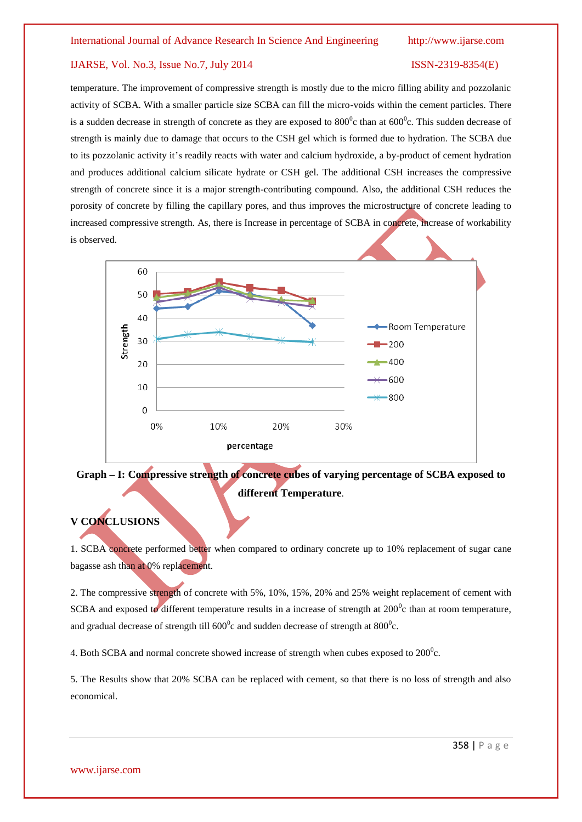### IJARSE, Vol. No.3, Issue No.7, July 2014 ISSN-2319-8354(E)

temperature. The improvement of compressive strength is mostly due to the micro filling ability and pozzolanic activity of SCBA. With a smaller particle size SCBA can fill the micro-voids within the cement particles. There is a sudden decrease in strength of concrete as they are exposed to  $800^0$ c than at  $600^0$ c. This sudden decrease of strength is mainly due to damage that occurs to the CSH gel which is formed due to hydration. The SCBA due to its pozzolanic activity it's readily reacts with water and calcium hydroxide, a by-product of cement hydration and produces additional calcium silicate hydrate or CSH gel. The additional CSH increases the compressive strength of concrete since it is a major strength-contributing compound. Also, the additional CSH reduces the porosity of concrete by filling the capillary pores, and thus improves the microstructure of concrete leading to increased compressive strength. As, there is Increase in percentage of SCBA in concrete, increase of workability is observed.



# **Graph – I: Compressive strength of concrete cubes of varying percentage of SCBA exposed to different Temperature**.

# **V CONCLUSIONS**

1. SCBA concrete performed better when compared to ordinary concrete up to 10% replacement of sugar cane bagasse ash than at 0% replacement.

2. The compressive strength of concrete with 5%, 10%, 15%, 20% and 25% weight replacement of cement with SCBA and exposed to different temperature results in a increase of strength at  $200^{\circ}$ c than at room temperature, and gradual decrease of strength till  $600^{\circ}$ c and sudden decrease of strength at  $800^{\circ}$ c.

4. Both SCBA and normal concrete showed increase of strength when cubes exposed to  $200^{\circ}$ c.

5. The Results show that 20% SCBA can be replaced with cement, so that there is no loss of strength and also economical.